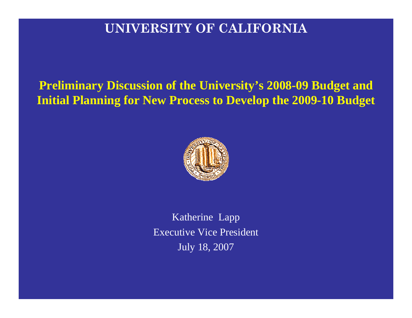#### **UNIVERSITY OF CALIFORNIA**

**Preliminary Discussion of the University's 2008-09 Budget and Initial Planning for New Process to Develop the 2009-10 Budget**



Katherine Lapp Executive Vice President July 18, 2007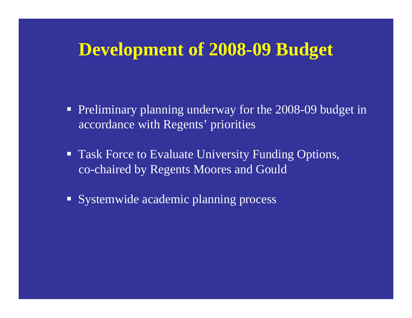# **Development of 2008-09 Budget**

- **Preliminary planning underway for the 2008-09 budget in** accordance with Regents' priorities
- **Task Force to Evaluate University Funding Options,** co-chaired by Regents Moores and Gould
- Systemwide academic planning process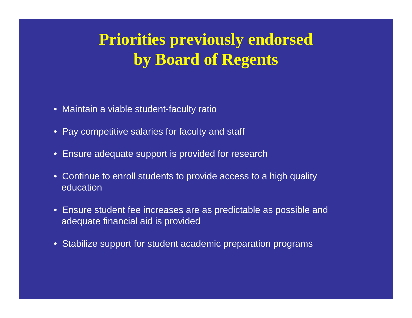# **Priorities previously endorsed by Board of Regents**

- Maintain a viable student-faculty ratio
- Pay competitive salaries for faculty and staff
- Ensure adequate support is provided for research
- Continue to enroll students to provide access to a high quality education
- Ensure student fee increases are as predictable as possible and adequate financial aid is provided
- Stabilize support for student academic preparation programs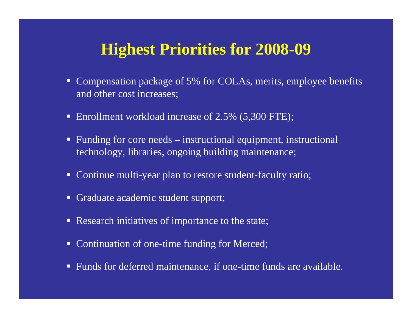#### **Highest Priorities for 2008-09**

- Compensation package of 5% for COLAs, merits, employee benefits and other cost increases;
- Enrollment workload increase of 2.5% (5,300 FTE);
- Funding for core needs instructional equipment, instructional technology, libraries, ongoing building maintenance;
- Continue multi-year plan to restore student-faculty ratio;
- Graduate academic student support;
- **Research initiatives of importance to the state;**
- Continuation of one-time funding for Merced;
- Funds for deferred maintenance, if one-time funds are available.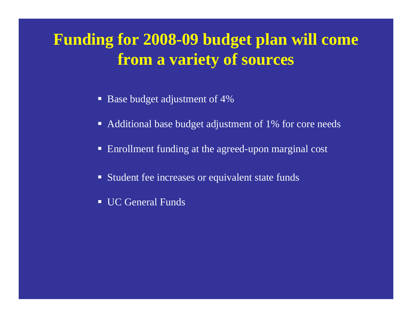# **Funding for 2008-09 budget plan will come from a variety of sources**

- Base budget adjustment of 4%
- Additional base budget adjustment of 1% for core needs
- Enrollment funding at the agreed-upon marginal cost
- **Student fee increases or equivalent state funds**
- UC General Funds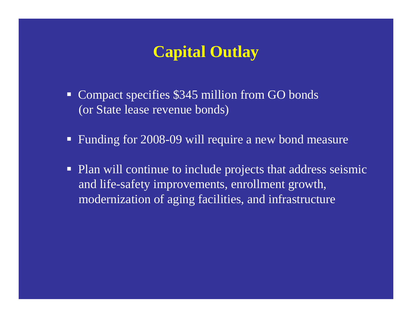### **Capital Outlay**

- Compact specifies \$345 million from GO bonds (or State lease revenue bonds)
- **Funding for 2008-09 will require a new bond measure**
- $\blacksquare$  Plan will continue to include projects that address seismic and life-safety improvements, enrollment growth, modernization of aging facilities, and infrastructure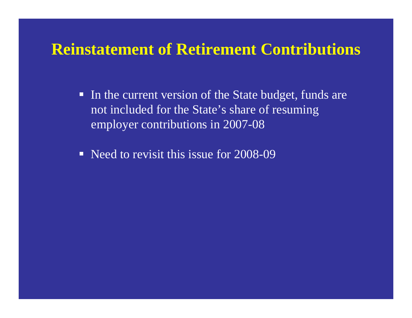### **Reinstatement of Retirement Contributions**

- $\blacksquare$  In the current version of the State budget, funds are not included for the State's share of resuming employer contributions in 2007-08
- Need to revisit this issue for 2008-09